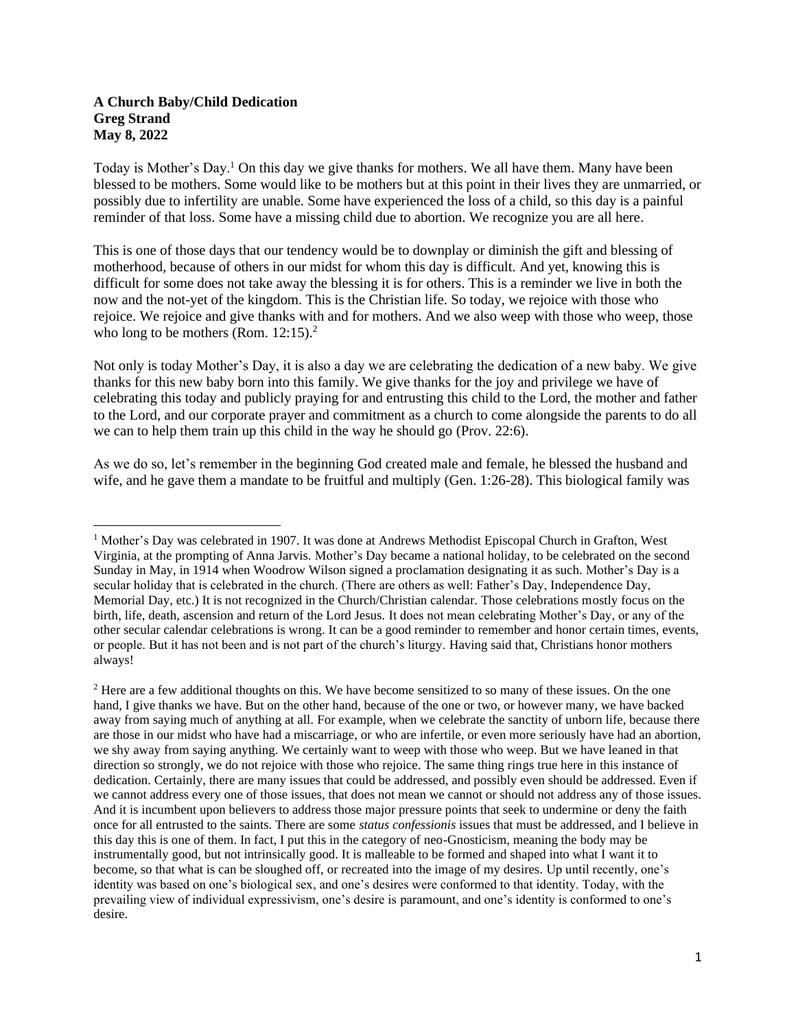## **A Church Baby/Child Dedication Greg Strand May 8, 2022**

Today is Mother's Day.<sup>1</sup> On this day we give thanks for mothers. We all have them. Many have been blessed to be mothers. Some would like to be mothers but at this point in their lives they are unmarried, or possibly due to infertility are unable. Some have experienced the loss of a child, so this day is a painful reminder of that loss. Some have a missing child due to abortion. We recognize you are all here.

This is one of those days that our tendency would be to downplay or diminish the gift and blessing of motherhood, because of others in our midst for whom this day is difficult. And yet, knowing this is difficult for some does not take away the blessing it is for others. This is a reminder we live in both the now and the not-yet of the kingdom. This is the Christian life. So today, we rejoice with those who rejoice. We rejoice and give thanks with and for mothers. And we also weep with those who weep, those who long to be mothers (Rom.  $12:15$ ).<sup>2</sup>

Not only is today Mother's Day, it is also a day we are celebrating the dedication of a new baby. We give thanks for this new baby born into this family. We give thanks for the joy and privilege we have of celebrating this today and publicly praying for and entrusting this child to the Lord, the mother and father to the Lord, and our corporate prayer and commitment as a church to come alongside the parents to do all we can to help them train up this child in the way he should go (Prov. 22:6).

As we do so, let's remember in the beginning God created male and female, he blessed the husband and wife, and he gave them a mandate to be fruitful and multiply (Gen. 1:26-28). This biological family was

<sup>&</sup>lt;sup>1</sup> Mother's Day was celebrated in 1907. It was done at Andrews Methodist Episcopal Church in Grafton, West Virginia, at the prompting of Anna Jarvis. Mother's Day became a national holiday, to be celebrated on the second Sunday in May, in 1914 when Woodrow Wilson signed a proclamation designating it as such. Mother's Day is a secular holiday that is celebrated in the church. (There are others as well: Father's Day, Independence Day, Memorial Day, etc.) It is not recognized in the Church/Christian calendar. Those celebrations mostly focus on the birth, life, death, ascension and return of the Lord Jesus. It does not mean celebrating Mother's Day, or any of the other secular calendar celebrations is wrong. It can be a good reminder to remember and honor certain times, events, or people. But it has not been and is not part of the church's liturgy. Having said that, Christians honor mothers always!

<sup>&</sup>lt;sup>2</sup> Here are a few additional thoughts on this. We have become sensitized to so many of these issues. On the one hand, I give thanks we have. But on the other hand, because of the one or two, or however many, we have backed away from saying much of anything at all. For example, when we celebrate the sanctity of unborn life, because there are those in our midst who have had a miscarriage, or who are infertile, or even more seriously have had an abortion, we shy away from saying anything. We certainly want to weep with those who weep. But we have leaned in that direction so strongly, we do not rejoice with those who rejoice. The same thing rings true here in this instance of dedication. Certainly, there are many issues that could be addressed, and possibly even should be addressed. Even if we cannot address every one of those issues, that does not mean we cannot or should not address any of those issues. And it is incumbent upon believers to address those major pressure points that seek to undermine or deny the faith once for all entrusted to the saints. There are some *status confessionis* issues that must be addressed, and I believe in this day this is one of them. In fact, I put this in the category of neo-Gnosticism, meaning the body may be instrumentally good, but not intrinsically good. It is malleable to be formed and shaped into what I want it to become, so that what is can be sloughed off, or recreated into the image of my desires. Up until recently, one's identity was based on one's biological sex, and one's desires were conformed to that identity. Today, with the prevailing view of individual expressivism, one's desire is paramount, and one's identity is conformed to one's desire.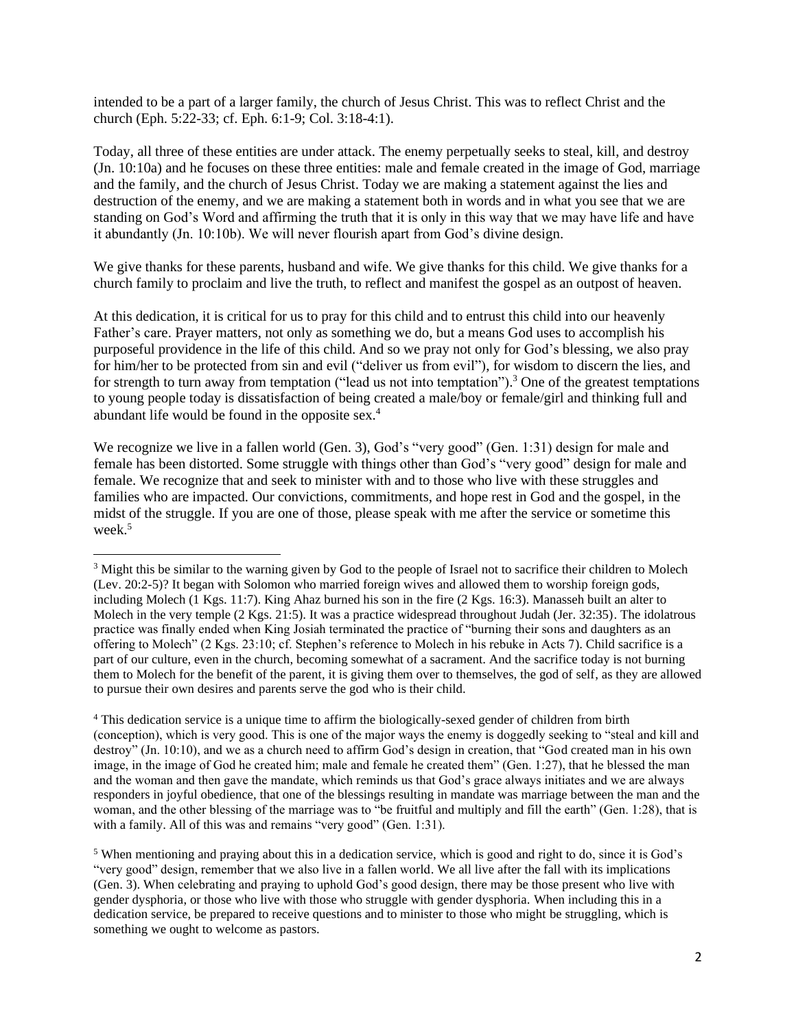intended to be a part of a larger family, the church of Jesus Christ. This was to reflect Christ and the church (Eph. 5:22-33; cf. Eph. 6:1-9; Col. 3:18-4:1).

Today, all three of these entities are under attack. The enemy perpetually seeks to steal, kill, and destroy (Jn. 10:10a) and he focuses on these three entities: male and female created in the image of God, marriage and the family, and the church of Jesus Christ. Today we are making a statement against the lies and destruction of the enemy, and we are making a statement both in words and in what you see that we are standing on God's Word and affirming the truth that it is only in this way that we may have life and have it abundantly (Jn. 10:10b). We will never flourish apart from God's divine design.

We give thanks for these parents, husband and wife. We give thanks for this child. We give thanks for a church family to proclaim and live the truth, to reflect and manifest the gospel as an outpost of heaven.

At this dedication, it is critical for us to pray for this child and to entrust this child into our heavenly Father's care. Prayer matters, not only as something we do, but a means God uses to accomplish his purposeful providence in the life of this child. And so we pray not only for God's blessing, we also pray for him/her to be protected from sin and evil ("deliver us from evil"), for wisdom to discern the lies, and for strength to turn away from temptation ("lead us not into temptation").<sup>3</sup> One of the greatest temptations to young people today is dissatisfaction of being created a male/boy or female/girl and thinking full and abundant life would be found in the opposite sex.<sup>4</sup>

We recognize we live in a fallen world (Gen. 3), God's "very good" (Gen. 1:31) design for male and female has been distorted. Some struggle with things other than God's "very good" design for male and female. We recognize that and seek to minister with and to those who live with these struggles and families who are impacted. Our convictions, commitments, and hope rest in God and the gospel, in the midst of the struggle. If you are one of those, please speak with me after the service or sometime this week.<sup>5</sup>

<sup>4</sup> This dedication service is a unique time to affirm the biologically-sexed gender of children from birth (conception), which is very good. This is one of the major ways the enemy is doggedly seeking to "steal and kill and destroy" (Jn. 10:10), and we as a church need to affirm God's design in creation, that "God created man in his own image, in the image of God he created him; male and female he created them" (Gen. 1:27), that he blessed the man and the woman and then gave the mandate, which reminds us that God's grace always initiates and we are always responders in joyful obedience, that one of the blessings resulting in mandate was marriage between the man and the woman, and the other blessing of the marriage was to "be fruitful and multiply and fill the earth" (Gen. 1:28), that is with a family. All of this was and remains "very good" (Gen. 1:31).

<sup>5</sup> When mentioning and praying about this in a dedication service, which is good and right to do, since it is God's "very good" design, remember that we also live in a fallen world. We all live after the fall with its implications (Gen. 3). When celebrating and praying to uphold God's good design, there may be those present who live with gender dysphoria, or those who live with those who struggle with gender dysphoria. When including this in a dedication service, be prepared to receive questions and to minister to those who might be struggling, which is something we ought to welcome as pastors.

<sup>&</sup>lt;sup>3</sup> Might this be similar to the warning given by God to the people of Israel not to sacrifice their children to Molech (Lev. 20:2-5)? It began with Solomon who married foreign wives and allowed them to worship foreign gods, including Molech (1 Kgs. 11:7). King Ahaz burned his son in the fire (2 Kgs. 16:3). Manasseh built an alter to Molech in the very temple (2 Kgs. 21:5). It was a practice widespread throughout Judah (Jer. 32:35). The idolatrous practice was finally ended when King Josiah terminated the practice of "burning their sons and daughters as an offering to Molech" (2 Kgs. 23:10; cf. Stephen's reference to Molech in his rebuke in Acts 7). Child sacrifice is a part of our culture, even in the church, becoming somewhat of a sacrament. And the sacrifice today is not burning them to Molech for the benefit of the parent, it is giving them over to themselves, the god of self, as they are allowed to pursue their own desires and parents serve the god who is their child.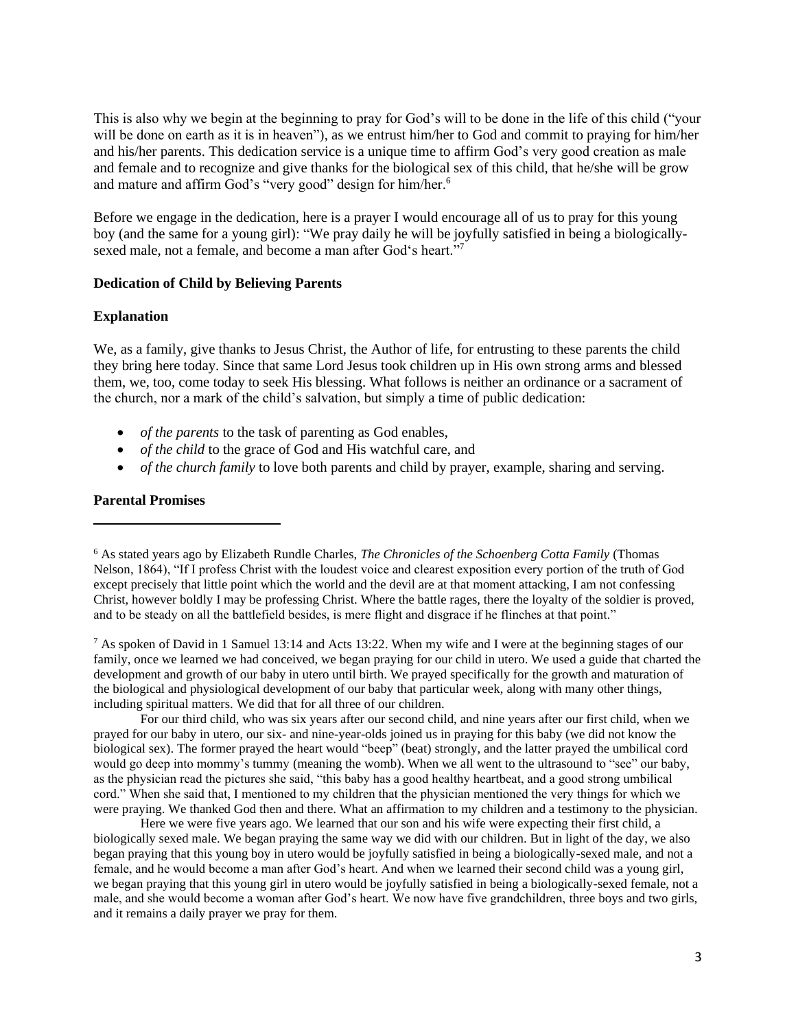This is also why we begin at the beginning to pray for God's will to be done in the life of this child ("your will be done on earth as it is in heaven"), as we entrust him/her to God and commit to praying for him/her and his/her parents. This dedication service is a unique time to affirm God's very good creation as male and female and to recognize and give thanks for the biological sex of this child, that he/she will be grow and mature and affirm God's "very good" design for him/her.<sup>6</sup>

Before we engage in the dedication, here is a prayer I would encourage all of us to pray for this young boy (and the same for a young girl): "We pray daily he will be joyfully satisfied in being a biologicallysexed male, not a female, and become a man after God's heart."7

### **Dedication of Child by Believing Parents**

### **Explanation**

We, as a family, give thanks to Jesus Christ, the Author of life, for entrusting to these parents the child they bring here today. Since that same Lord Jesus took children up in His own strong arms and blessed them, we, too, come today to seek His blessing. What follows is neither an ordinance or a sacrament of the church, nor a mark of the child's salvation, but simply a time of public dedication:

- *of the parents* to the task of parenting as God enables,
- *of the child* to the grace of God and His watchful care, and
- *of the church family* to love both parents and child by prayer, example, sharing and serving.

### **Parental Promises**

<sup>7</sup> As spoken of David in 1 Samuel 13:14 and Acts 13:22. When my wife and I were at the beginning stages of our family, once we learned we had conceived, we began praying for our child in utero. We used a guide that charted the development and growth of our baby in utero until birth. We prayed specifically for the growth and maturation of the biological and physiological development of our baby that particular week, along with many other things, including spiritual matters. We did that for all three of our children.

For our third child, who was six years after our second child, and nine years after our first child, when we prayed for our baby in utero, our six- and nine-year-olds joined us in praying for this baby (we did not know the biological sex). The former prayed the heart would "beep" (beat) strongly, and the latter prayed the umbilical cord would go deep into mommy's tummy (meaning the womb). When we all went to the ultrasound to "see" our baby, as the physician read the pictures she said, "this baby has a good healthy heartbeat, and a good strong umbilical cord." When she said that, I mentioned to my children that the physician mentioned the very things for which we were praying. We thanked God then and there. What an affirmation to my children and a testimony to the physician.

Here we were five years ago. We learned that our son and his wife were expecting their first child, a biologically sexed male. We began praying the same way we did with our children. But in light of the day, we also began praying that this young boy in utero would be joyfully satisfied in being a biologically-sexed male, and not a female, and he would become a man after God's heart. And when we learned their second child was a young girl, we began praying that this young girl in utero would be joyfully satisfied in being a biologically-sexed female, not a male, and she would become a woman after God's heart. We now have five grandchildren, three boys and two girls, and it remains a daily prayer we pray for them.

<sup>6</sup> As stated years ago by Elizabeth Rundle Charles, *The Chronicles of the Schoenberg Cotta Family* (Thomas Nelson, 1864), "If I profess Christ with the loudest voice and clearest exposition every portion of the truth of God except precisely that little point which the world and the devil are at that moment attacking, I am not confessing Christ, however boldly I may be professing Christ. Where the battle rages, there the loyalty of the soldier is proved, and to be steady on all the battlefield besides, is mere flight and disgrace if he flinches at that point."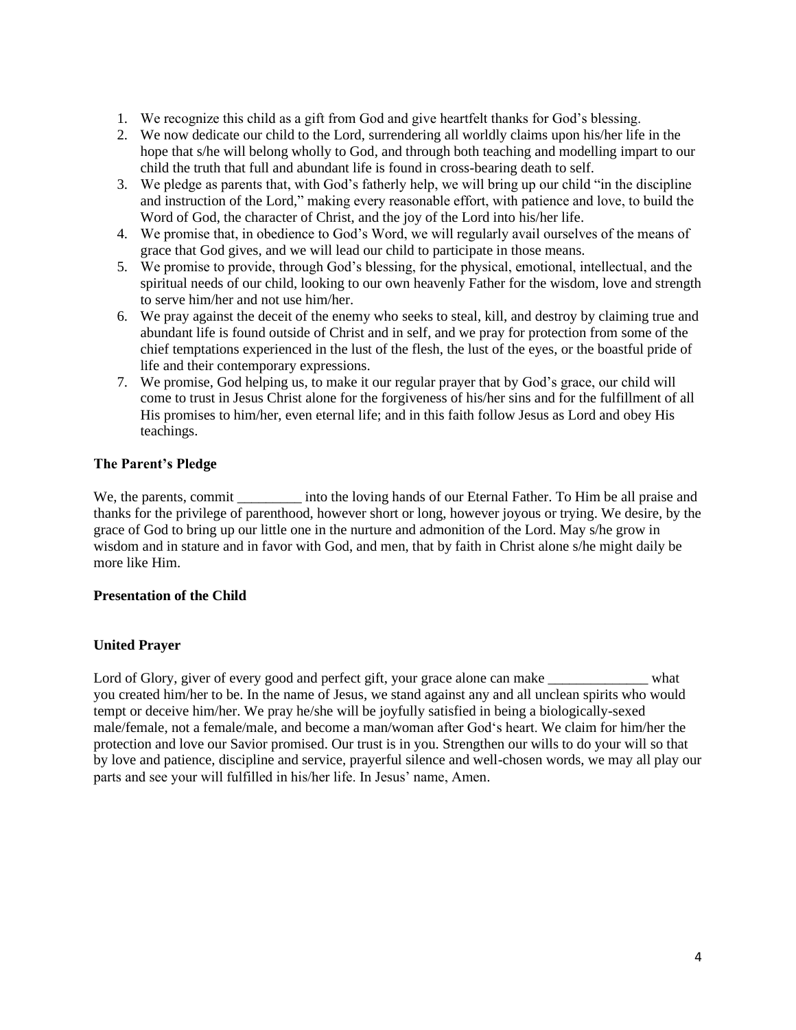- 1. We recognize this child as a gift from God and give heartfelt thanks for God's blessing.
- 2. We now dedicate our child to the Lord, surrendering all worldly claims upon his/her life in the hope that s/he will belong wholly to God, and through both teaching and modelling impart to our child the truth that full and abundant life is found in cross-bearing death to self.
- 3. We pledge as parents that, with God's fatherly help, we will bring up our child "in the discipline and instruction of the Lord," making every reasonable effort, with patience and love, to build the Word of God, the character of Christ, and the joy of the Lord into his/her life.
- 4. We promise that, in obedience to God's Word, we will regularly avail ourselves of the means of grace that God gives, and we will lead our child to participate in those means.
- 5. We promise to provide, through God's blessing, for the physical, emotional, intellectual, and the spiritual needs of our child, looking to our own heavenly Father for the wisdom, love and strength to serve him/her and not use him/her.
- 6. We pray against the deceit of the enemy who seeks to steal, kill, and destroy by claiming true and abundant life is found outside of Christ and in self, and we pray for protection from some of the chief temptations experienced in the lust of the flesh, the lust of the eyes, or the boastful pride of life and their contemporary expressions.
- 7. We promise, God helping us, to make it our regular prayer that by God's grace, our child will come to trust in Jesus Christ alone for the forgiveness of his/her sins and for the fulfillment of all His promises to him/her, even eternal life; and in this faith follow Jesus as Lord and obey His teachings.

# **The Parent's Pledge**

We, the parents, commit into the loving hands of our Eternal Father. To Him be all praise and thanks for the privilege of parenthood, however short or long, however joyous or trying. We desire, by the grace of God to bring up our little one in the nurture and admonition of the Lord. May s/he grow in wisdom and in stature and in favor with God, and men, that by faith in Christ alone s/he might daily be more like Him.

# **Presentation of the Child**

# **United Prayer**

Lord of Glory, giver of every good and perfect gift, your grace alone can make \_\_\_\_\_\_\_\_\_\_\_\_\_\_\_\_ what you created him/her to be. In the name of Jesus, we stand against any and all unclean spirits who would tempt or deceive him/her. We pray he/she will be joyfully satisfied in being a biologically-sexed male/female, not a female/male, and become a man/woman after God's heart. We claim for him/her the protection and love our Savior promised. Our trust is in you. Strengthen our wills to do your will so that by love and patience, discipline and service, prayerful silence and well-chosen words, we may all play our parts and see your will fulfilled in his/her life. In Jesus' name, Amen.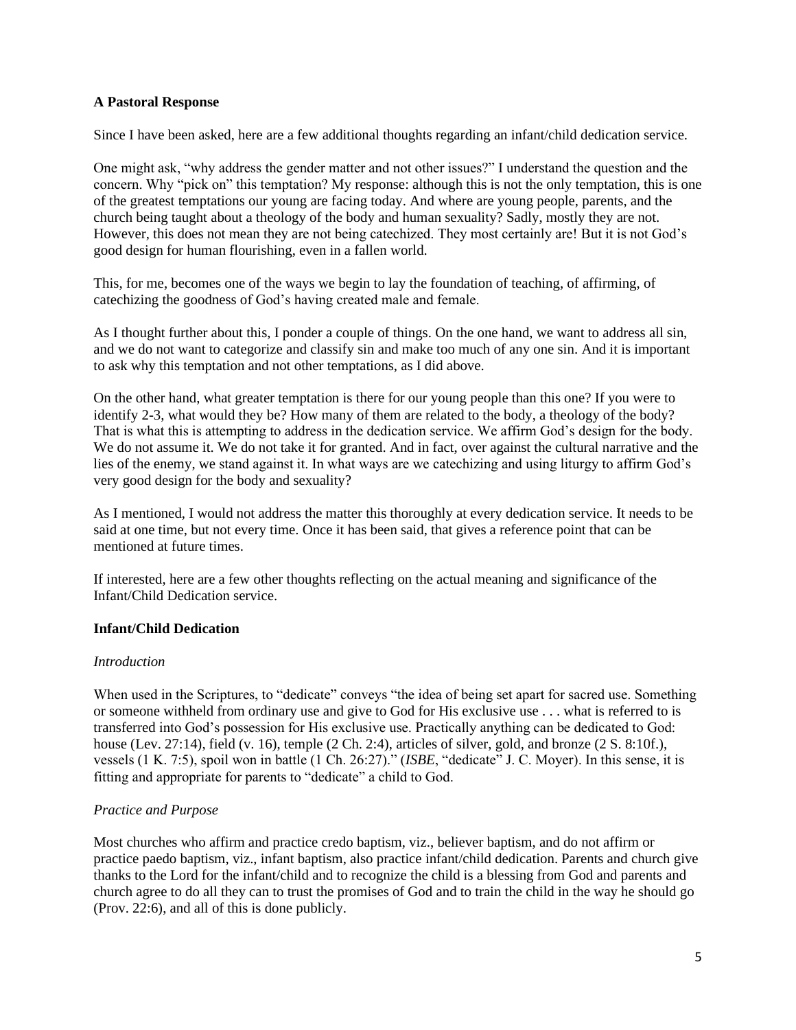## **A Pastoral Response**

Since I have been asked, here are a few additional thoughts regarding an infant/child dedication service.

One might ask, "why address the gender matter and not other issues?" I understand the question and the concern. Why "pick on" this temptation? My response: although this is not the only temptation, this is one of the greatest temptations our young are facing today. And where are young people, parents, and the church being taught about a theology of the body and human sexuality? Sadly, mostly they are not. However, this does not mean they are not being catechized. They most certainly are! But it is not God's good design for human flourishing, even in a fallen world.

This, for me, becomes one of the ways we begin to lay the foundation of teaching, of affirming, of catechizing the goodness of God's having created male and female.

As I thought further about this, I ponder a couple of things. On the one hand, we want to address all sin, and we do not want to categorize and classify sin and make too much of any one sin. And it is important to ask why this temptation and not other temptations, as I did above.

On the other hand, what greater temptation is there for our young people than this one? If you were to identify 2-3, what would they be? How many of them are related to the body, a theology of the body? That is what this is attempting to address in the dedication service. We affirm God's design for the body. We do not assume it. We do not take it for granted. And in fact, over against the cultural narrative and the lies of the enemy, we stand against it. In what ways are we catechizing and using liturgy to affirm God's very good design for the body and sexuality?

As I mentioned, I would not address the matter this thoroughly at every dedication service. It needs to be said at one time, but not every time. Once it has been said, that gives a reference point that can be mentioned at future times.

If interested, here are a few other thoughts reflecting on the actual meaning and significance of the Infant/Child Dedication service.

### **Infant/Child Dedication**

### *Introduction*

When used in the Scriptures, to "dedicate" conveys "the idea of being set apart for sacred use. Something or someone withheld from ordinary use and give to God for His exclusive use . . . what is referred to is transferred into God's possession for His exclusive use. Practically anything can be dedicated to God: house (Lev. 27:14), field (v. 16), temple (2 Ch. 2:4), articles of silver, gold, and bronze (2 S. 8:10f.), vessels (1 K. 7:5), spoil won in battle (1 Ch. 26:27)." (*ISBE*, "dedicate" J. C. Moyer). In this sense, it is fitting and appropriate for parents to "dedicate" a child to God.

## *Practice and Purpose*

Most churches who affirm and practice credo baptism, viz., believer baptism, and do not affirm or practice paedo baptism, viz., infant baptism, also practice infant/child dedication. Parents and church give thanks to the Lord for the infant/child and to recognize the child is a blessing from God and parents and church agree to do all they can to trust the promises of God and to train the child in the way he should go (Prov. 22:6), and all of this is done publicly.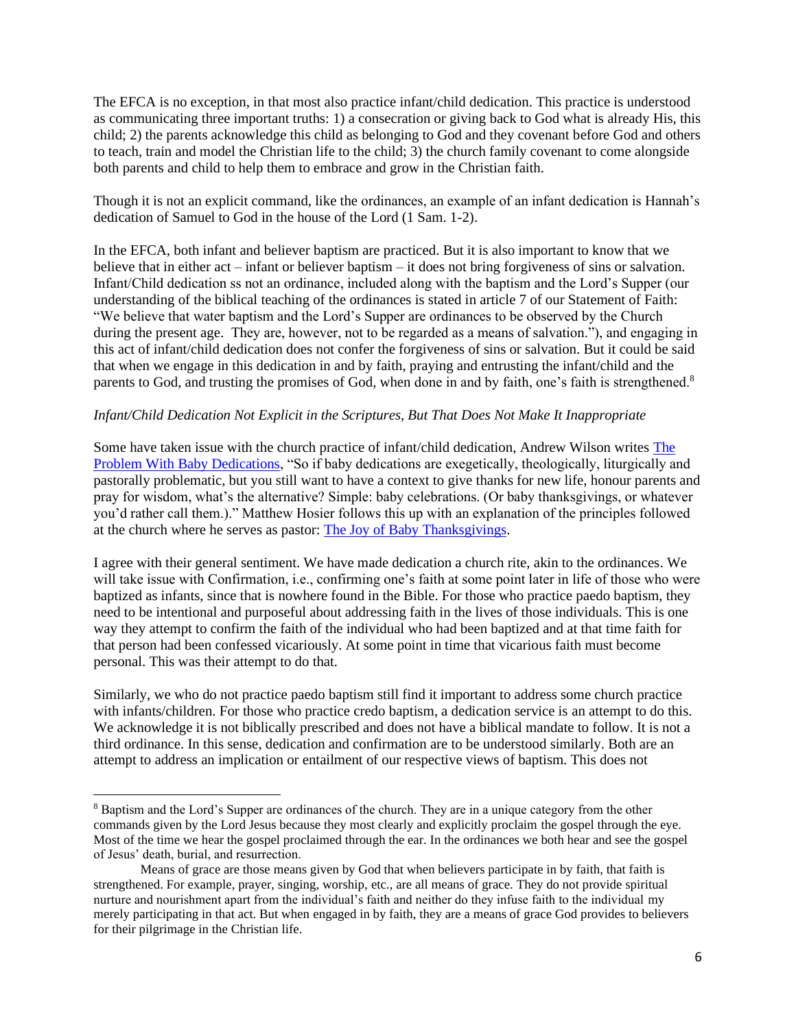The EFCA is no exception, in that most also practice infant/child dedication. This practice is understood as communicating three important truths: 1) a consecration or giving back to God what is already His, this child; 2) the parents acknowledge this child as belonging to God and they covenant before God and others to teach, train and model the Christian life to the child; 3) the church family covenant to come alongside both parents and child to help them to embrace and grow in the Christian faith.

Though it is not an explicit command, like the ordinances, an example of an infant dedication is Hannah's dedication of Samuel to God in the house of the Lord (1 Sam. 1-2).

In the EFCA, both infant and believer baptism are practiced. But it is also important to know that we believe that in either act – infant or believer baptism – it does not bring forgiveness of sins or salvation. Infant/Child dedication ss not an ordinance, included along with the baptism and the Lord's Supper (our understanding of the biblical teaching of the ordinances is stated in article 7 of our Statement of Faith: "We believe that water baptism and the Lord's Supper are ordinances to be observed by the Church during the present age. They are, however, not to be regarded as a means of salvation."), and engaging in this act of infant/child dedication does not confer the forgiveness of sins or salvation. But it could be said that when we engage in this dedication in and by faith, praying and entrusting the infant/child and the parents to God, and trusting the promises of God, when done in and by faith, one's faith is strengthened.<sup>8</sup>

### *Infant/Child Dedication Not Explicit in the Scriptures, But That Does Not Make It Inappropriate*

Some have taken issue with the church practice of infant/child dedication, Andrew Wilson writes [The](http://thinktheology.co.uk/blog/article/the_problem_with_baby_dedications)  [Problem With Baby Dedications,](http://thinktheology.co.uk/blog/article/the_problem_with_baby_dedications) "So if baby dedications are exegetically, theologically, liturgically and pastorally problematic, but you still want to have a context to give thanks for new life, honour parents and pray for wisdom, what's the alternative? Simple: baby celebrations. (Or baby thanksgivings, or whatever you'd rather call them.)." Matthew Hosier follows this up with an explanation of the principles followed at the church where he serves as pastor: [The Joy of Baby Thanksgivings.](http://thinktheology.co.uk/blog/article/the_joy_of_baby_thanksgivings)

I agree with their general sentiment. We have made dedication a church rite, akin to the ordinances. We will take issue with Confirmation, i.e., confirming one's faith at some point later in life of those who were baptized as infants, since that is nowhere found in the Bible. For those who practice paedo baptism, they need to be intentional and purposeful about addressing faith in the lives of those individuals. This is one way they attempt to confirm the faith of the individual who had been baptized and at that time faith for that person had been confessed vicariously. At some point in time that vicarious faith must become personal. This was their attempt to do that.

Similarly, we who do not practice paedo baptism still find it important to address some church practice with infants/children. For those who practice credo baptism, a dedication service is an attempt to do this. We acknowledge it is not biblically prescribed and does not have a biblical mandate to follow. It is not a third ordinance. In this sense, dedication and confirmation are to be understood similarly. Both are an attempt to address an implication or entailment of our respective views of baptism. This does not

<sup>8</sup> Baptism and the Lord's Supper are ordinances of the church. They are in a unique category from the other commands given by the Lord Jesus because they most clearly and explicitly proclaim the gospel through the eye. Most of the time we hear the gospel proclaimed through the ear. In the ordinances we both hear and see the gospel of Jesus' death, burial, and resurrection.

Means of grace are those means given by God that when believers participate in by faith, that faith is strengthened. For example, prayer, singing, worship, etc., are all means of grace. They do not provide spiritual nurture and nourishment apart from the individual's faith and neither do they infuse faith to the individual my merely participating in that act. But when engaged in by faith, they are a means of grace God provides to believers for their pilgrimage in the Christian life.